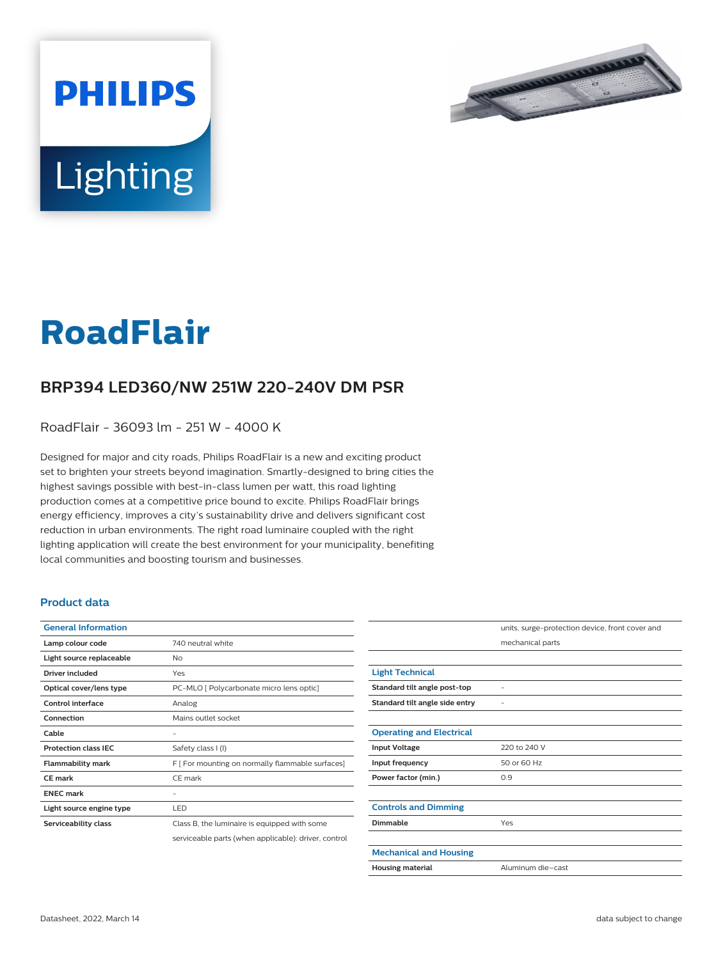

# Lighting

**PHILIPS** 

# **RoadFlair**

## **BRP394 LED360/NW 251W 220-240V DM PSR**

RoadFlair - 36093 lm - 251 W - 4000 K

Designed for major and city roads, Philips RoadFlair is a new and exciting product set to brighten your streets beyond imagination. Smartly-designed to bring cities the highest savings possible with best-in-class lumen per watt, this road lighting production comes at a competitive price bound to excite. Philips RoadFlair brings energy efficiency, improves a city's sustainability drive and delivers significant cost reduction in urban environments. The right road luminaire coupled with the right lighting application will create the best environment for your municipality, benefiting local communities and boosting tourism and businesses.

#### **Product data**

| <b>General Information</b>  |                                                      |
|-----------------------------|------------------------------------------------------|
| Lamp colour code            | 740 neutral white                                    |
| Light source replaceable    | No                                                   |
| Driver included             | Yes                                                  |
| Optical cover/lens type     | PC-MLO [ Polycarbonate micro lens optic]             |
| Control interface           | Analog                                               |
| Connection                  | Mains outlet socket                                  |
| Cable                       |                                                      |
| <b>Protection class IFC</b> | Safety class I (I)                                   |
| <b>Flammability mark</b>    | F [ For mounting on normally flammable surfaces]     |
| <b>CE</b> mark              | CE mark                                              |
| <b>FNFC</b> mark            |                                                      |
| Light source engine type    | LED                                                  |
| Serviceability class        | Class B, the luminaire is equipped with some         |
|                             | serviceable parts (when applicable): driver, control |

|                                 | units, surge-protection device, front cover and |
|---------------------------------|-------------------------------------------------|
|                                 | mechanical parts                                |
|                                 |                                                 |
| <b>Light Technical</b>          |                                                 |
| Standard tilt angle post-top    |                                                 |
| Standard tilt angle side entry  |                                                 |
|                                 |                                                 |
| <b>Operating and Electrical</b> |                                                 |
| <b>Input Voltage</b>            | 220 to 240 V                                    |
| Input frequency                 | 50 or 60 Hz                                     |
| Power factor (min.)             | 0.9                                             |
|                                 |                                                 |
| <b>Controls and Dimming</b>     |                                                 |
| Dimmable                        | Yes                                             |
|                                 |                                                 |
| <b>Mechanical and Housing</b>   |                                                 |
| <b>Housing material</b>         | Aluminum die-cast                               |
|                                 |                                                 |